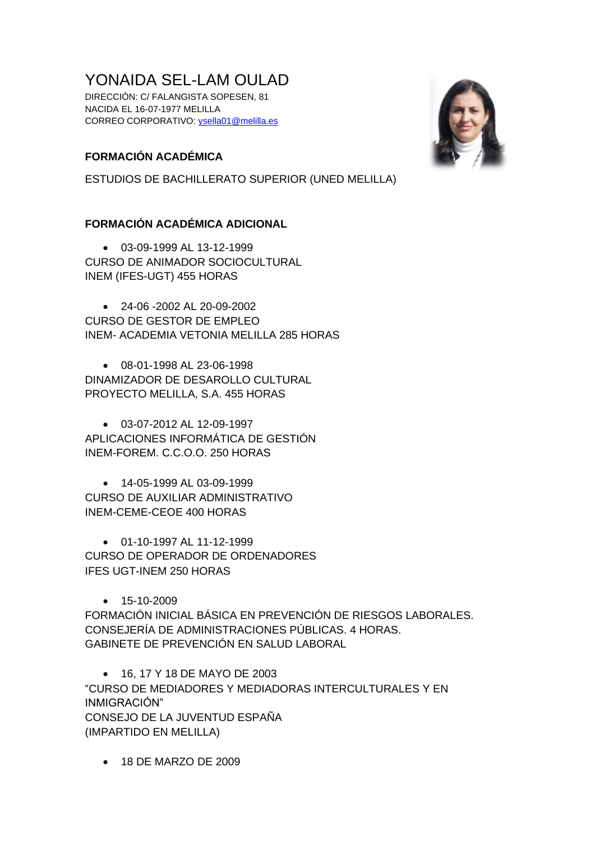# YONAIDA SEL-LAM OULAD

DIRECCIÓN: C/ FALANGISTA SOPESEN, 81 NACIDA EL 16-07-1977 MELILLA CORREO CORPORATIVO: [ysella01@melilla.es](mailto:ysella01@melilla.es)

# **FORMACIÓN ACADÉMICA**

ESTUDIOS DE BACHILLERATO SUPERIOR (UNED MELILLA)

# **FORMACIÓN ACADÉMICA ADICIONAL**

• 03-09-1999 AL 13-12-1999 CURSO DE ANIMADOR SOCIOCULTURAL INEM (IFES-UGT) 455 HORAS

• 24-06 -2002 AL 20-09-2002 CURSO DE GESTOR DE EMPLEO INEM- ACADEMIA VETONIA MELILLA 285 HORAS

• 08-01-1998 AL 23-06-1998 DINAMIZADOR DE DESAROLLO CULTURAL PROYECTO MELILLA, S.A. 455 HORAS

• 03-07-2012 AL 12-09-1997 APLICACIONES INFORMÁTICA DE GESTIÓN INEM-FOREM. C.C.O.O. 250 HORAS

• 14-05-1999 AL 03-09-1999 CURSO DE AUXILIAR ADMINISTRATIVO INEM-CEME-CEOE 400 HORAS

• 01-10-1997 AL 11-12-1999 CURSO DE OPERADOR DE ORDENADORES IFES UGT-INEM 250 HORAS

 $• 15-10-2009$ 

FORMACIÓN INICIAL BÁSICA EN PREVENCIÓN DE RIESGOS LABORALES. CONSEJERÍA DE ADMINISTRACIONES PÚBLICAS. 4 HORAS. GABINETE DE PREVENCIÓN EN SALUD LABORAL

• 16, 17 Y 18 DE MAYO DE 2003

"CURSO DE MEDIADORES Y MEDIADORAS INTERCULTURALES Y EN INMIGRACIÓN" CONSEJO DE LA JUVENTUD ESPAÑA (IMPARTIDO EN MELILLA)

• 18 DE MARZO DE 2009

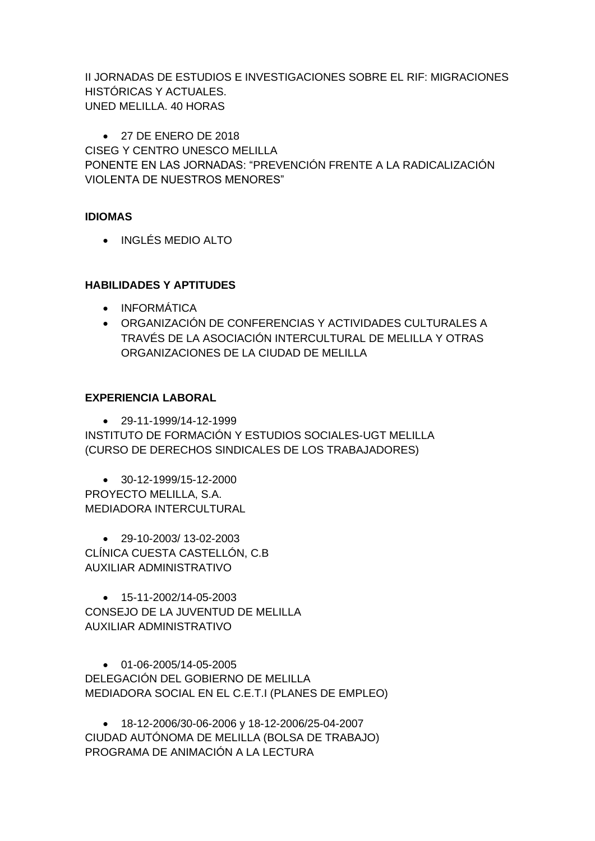II JORNADAS DE ESTUDIOS E INVESTIGACIONES SOBRE EL RIF: MIGRACIONES HISTÓRICAS Y ACTUALES. UNED MELILLA. 40 HORAS

• 27 DE ENERO DE 2018 CISEG Y CENTRO UNESCO MELILLA PONENTE EN LAS JORNADAS: "PREVENCIÓN FRENTE A LA RADICALIZACIÓN VIOLENTA DE NUESTROS MENORES"

### **IDIOMAS**

• INGLÉS MEDIO ALTO

# **HABILIDADES Y APTITUDES**

- INFORMÁTICA
- ORGANIZACIÓN DE CONFERENCIAS Y ACTIVIDADES CULTURALES A TRAVÉS DE LA ASOCIACIÓN INTERCULTURAL DE MELILLA Y OTRAS ORGANIZACIONES DE LA CIUDAD DE MELILLA

### **EXPERIENCIA LABORAL**

 $• 29 - 11 - 1999/14 - 12 - 1999$ INSTITUTO DE FORMACIÓN Y ESTUDIOS SOCIALES-UGT MELILLA (CURSO DE DERECHOS SINDICALES DE LOS TRABAJADORES)

 $\bullet$  30-12-1999/15-12-2000 PROYECTO MELILLA, S.A. MEDIADORA INTERCULTURAL

• 29-10-2003/ 13-02-2003 CLÍNICA CUESTA CASTELLÓN, C.B AUXILIAR ADMINISTRATIVO

 $\bullet$  15-11-2002/14-05-2003 CONSEJO DE LA JUVENTUD DE MELILLA AUXILIAR ADMINISTRATIVO

• 01-06-2005/14-05-2005 DELEGACIÓN DEL GOBIERNO DE MELILLA MEDIADORA SOCIAL EN EL C.E.T.I (PLANES DE EMPLEO)

• 18-12-2006/30-06-2006 y 18-12-2006/25-04-2007 CIUDAD AUTÓNOMA DE MELILLA (BOLSA DE TRABAJO) PROGRAMA DE ANIMACIÓN A LA LECTURA